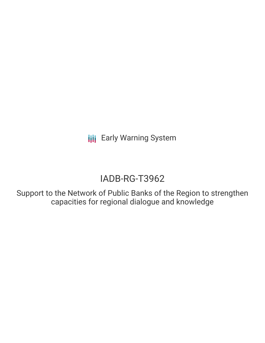**III** Early Warning System

# IADB-RG-T3962

Support to the Network of Public Banks of the Region to strengthen capacities for regional dialogue and knowledge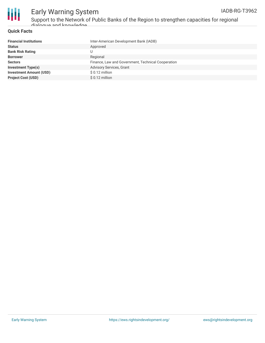

## Early Warning System Support to the Network of Public Banks of the Region to strengthen capacities for regional dialogue and knowledge

#### **Quick Facts**

| <b>Financial Institutions</b>  | Inter-American Development Bank (IADB)             |
|--------------------------------|----------------------------------------------------|
| <b>Status</b>                  | Approved                                           |
| <b>Bank Risk Rating</b>        |                                                    |
| <b>Borrower</b>                | Regional                                           |
| <b>Sectors</b>                 | Finance, Law and Government, Technical Cooperation |
| <b>Investment Type(s)</b>      | <b>Advisory Services, Grant</b>                    |
| <b>Investment Amount (USD)</b> | $$0.12$ million                                    |
| <b>Project Cost (USD)</b>      | $$0.12$ million                                    |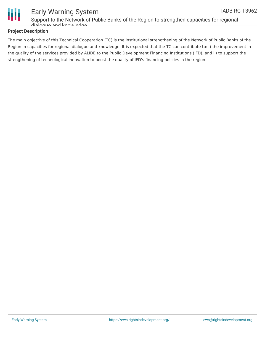



# Early Warning System Support to the Network of Public Banks of the Region to strengthen capacities for regional

dialogue and knowledge

#### **Project Description**

The main objective of this Technical Cooperation (TC) is the institutional strengthening of the Network of Public Banks of the Region in capacities for regional dialogue and knowledge. It is expected that the TC can contribute to: i) the improvement in the quality of the services provided by ALIDE to the Public Development Financing Institutions (IFD); and ii) to support the strengthening of technological innovation to boost the quality of IFD's financing policies in the region.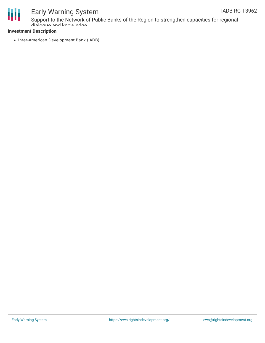



# Early Warning System

Support to the Network of Public Banks of the Region to strengthen capacities for regional dialogue and knowledge

#### **Investment Description**

• Inter-American Development Bank (IADB)